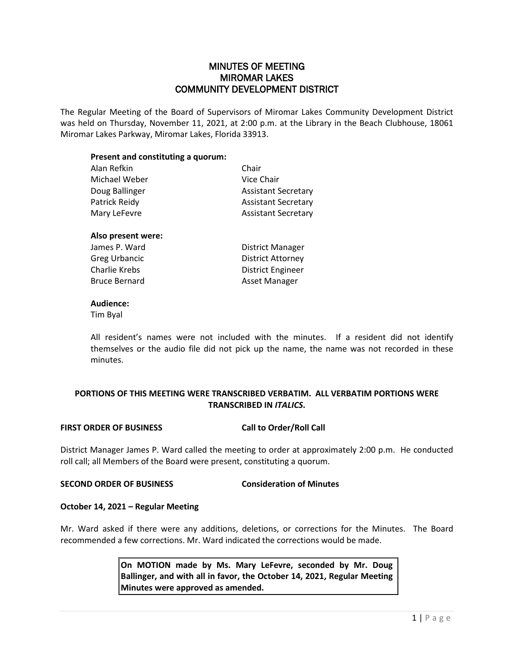# MINUTES OF MEETING MIROMAR LAKES COMMUNITY DEVELOPMENT DISTRICT

The Regular Meeting of the Board of Supervisors of Miromar Lakes Community Development District was held on Thursday, November 11, 2021, at 2:00 p.m. at the Library in the Beach Clubhouse, 18061 Miromar Lakes Parkway, Miromar Lakes, Florida 33913.

## **Present and constituting a quorum:**

| Alan Refkin          | Chair                      |
|----------------------|----------------------------|
| Michael Weber        | Vice Chair                 |
| Doug Ballinger       | <b>Assistant Secretary</b> |
| Patrick Reidy        | <b>Assistant Secretary</b> |
| Mary LeFevre         | <b>Assistant Secretary</b> |
| Also present were:   |                            |
| James P. Ward        | District Manager           |
| Greg Urbancic        | <b>District Attorney</b>   |
| Charlie Krebs        | District Engineer          |
| <b>Bruce Bernard</b> | Asset Manager              |
|                      |                            |

#### **Audience:**

Tim Byal

All resident's names were not included with the minutes. If a resident did not identify themselves or the audio file did not pick up the name, the name was not recorded in these minutes.

# **PORTIONS OF THIS MEETING WERE TRANSCRIBED VERBATIM. ALL VERBATIM PORTIONS WERE TRANSCRIBED IN** *ITALICS***.**

## **FIRST ORDER OF BUSINESS Call to Order/Roll Call**

District Manager James P. Ward called the meeting to order at approximately 2:00 p.m. He conducted roll call; all Members of the Board were present, constituting a quorum.

## **SECOND ORDER OF BUSINESS Consideration of Minutes**

## **October 14, 2021 – Regular Meeting**

Mr. Ward asked if there were any additions, deletions, or corrections for the Minutes. The Board recommended a few corrections. Mr. Ward indicated the corrections would be made.

> **On MOTION made by Ms. Mary LeFevre, seconded by Mr. Doug Ballinger, and with all in favor, the October 14, 2021, Regular Meeting Minutes were approved as amended.**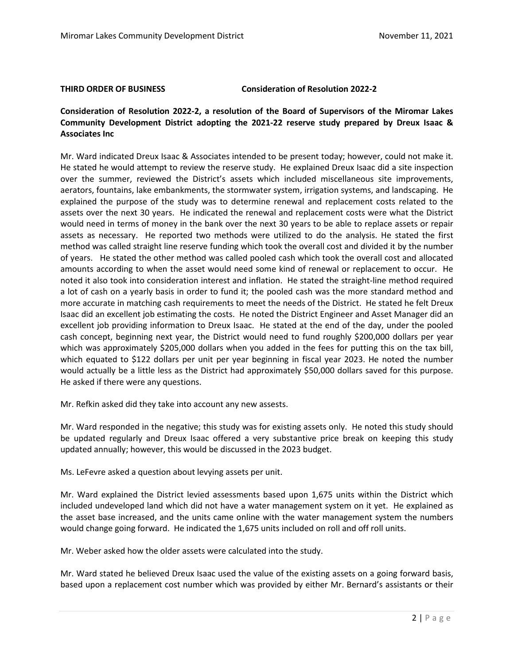#### **THIRD ORDER OF BUSINESS Consideration of Resolution 2022-2**

# **Consideration of Resolution 2022-2, a resolution of the Board of Supervisors of the Miromar Lakes Community Development District adopting the 2021-22 reserve study prepared by Dreux Isaac & Associates Inc**

Mr. Ward indicated Dreux Isaac & Associates intended to be present today; however, could not make it. He stated he would attempt to review the reserve study. He explained Dreux Isaac did a site inspection over the summer, reviewed the District's assets which included miscellaneous site improvements, aerators, fountains, lake embankments, the stormwater system, irrigation systems, and landscaping. He explained the purpose of the study was to determine renewal and replacement costs related to the assets over the next 30 years. He indicated the renewal and replacement costs were what the District would need in terms of money in the bank over the next 30 years to be able to replace assets or repair assets as necessary. He reported two methods were utilized to do the analysis. He stated the first method was called straight line reserve funding which took the overall cost and divided it by the number of years. He stated the other method was called pooled cash which took the overall cost and allocated amounts according to when the asset would need some kind of renewal or replacement to occur. He noted it also took into consideration interest and inflation. He stated the straight-line method required a lot of cash on a yearly basis in order to fund it; the pooled cash was the more standard method and more accurate in matching cash requirements to meet the needs of the District. He stated he felt Dreux Isaac did an excellent job estimating the costs. He noted the District Engineer and Asset Manager did an excellent job providing information to Dreux Isaac. He stated at the end of the day, under the pooled cash concept, beginning next year, the District would need to fund roughly \$200,000 dollars per year which was approximately \$205,000 dollars when you added in the fees for putting this on the tax bill, which equated to \$122 dollars per unit per year beginning in fiscal year 2023. He noted the number would actually be a little less as the District had approximately \$50,000 dollars saved for this purpose. He asked if there were any questions.

Mr. Refkin asked did they take into account any new assests.

Mr. Ward responded in the negative; this study was for existing assets only. He noted this study should be updated regularly and Dreux Isaac offered a very substantive price break on keeping this study updated annually; however, this would be discussed in the 2023 budget.

Ms. LeFevre asked a question about levying assets per unit.

Mr. Ward explained the District levied assessments based upon 1,675 units within the District which included undeveloped land which did not have a water management system on it yet. He explained as the asset base increased, and the units came online with the water management system the numbers would change going forward. He indicated the 1,675 units included on roll and off roll units.

Mr. Weber asked how the older assets were calculated into the study.

Mr. Ward stated he believed Dreux Isaac used the value of the existing assets on a going forward basis, based upon a replacement cost number which was provided by either Mr. Bernard's assistants or their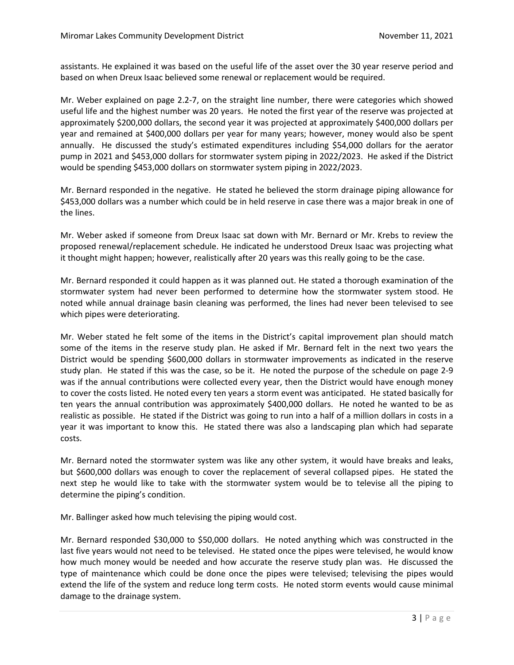assistants. He explained it was based on the useful life of the asset over the 30 year reserve period and based on when Dreux Isaac believed some renewal or replacement would be required.

Mr. Weber explained on page 2.2-7, on the straight line number, there were categories which showed useful life and the highest number was 20 years. He noted the first year of the reserve was projected at approximately \$200,000 dollars, the second year it was projected at approximately \$400,000 dollars per year and remained at \$400,000 dollars per year for many years; however, money would also be spent annually. He discussed the study's estimated expenditures including \$54,000 dollars for the aerator pump in 2021 and \$453,000 dollars for stormwater system piping in 2022/2023. He asked if the District would be spending \$453,000 dollars on stormwater system piping in 2022/2023.

Mr. Bernard responded in the negative. He stated he believed the storm drainage piping allowance for \$453,000 dollars was a number which could be in held reserve in case there was a major break in one of the lines.

Mr. Weber asked if someone from Dreux Isaac sat down with Mr. Bernard or Mr. Krebs to review the proposed renewal/replacement schedule. He indicated he understood Dreux Isaac was projecting what it thought might happen; however, realistically after 20 years was this really going to be the case.

Mr. Bernard responded it could happen as it was planned out. He stated a thorough examination of the stormwater system had never been performed to determine how the stormwater system stood. He noted while annual drainage basin cleaning was performed, the lines had never been televised to see which pipes were deteriorating.

Mr. Weber stated he felt some of the items in the District's capital improvement plan should match some of the items in the reserve study plan. He asked if Mr. Bernard felt in the next two years the District would be spending \$600,000 dollars in stormwater improvements as indicated in the reserve study plan. He stated if this was the case, so be it. He noted the purpose of the schedule on page 2-9 was if the annual contributions were collected every year, then the District would have enough money to cover the costs listed. He noted every ten years a storm event was anticipated. He stated basically for ten years the annual contribution was approximately \$400,000 dollars. He noted he wanted to be as realistic as possible. He stated if the District was going to run into a half of a million dollars in costs in a year it was important to know this. He stated there was also a landscaping plan which had separate costs.

Mr. Bernard noted the stormwater system was like any other system, it would have breaks and leaks, but \$600,000 dollars was enough to cover the replacement of several collapsed pipes. He stated the next step he would like to take with the stormwater system would be to televise all the piping to determine the piping's condition.

Mr. Ballinger asked how much televising the piping would cost.

Mr. Bernard responded \$30,000 to \$50,000 dollars. He noted anything which was constructed in the last five years would not need to be televised. He stated once the pipes were televised, he would know how much money would be needed and how accurate the reserve study plan was. He discussed the type of maintenance which could be done once the pipes were televised; televising the pipes would extend the life of the system and reduce long term costs. He noted storm events would cause minimal damage to the drainage system.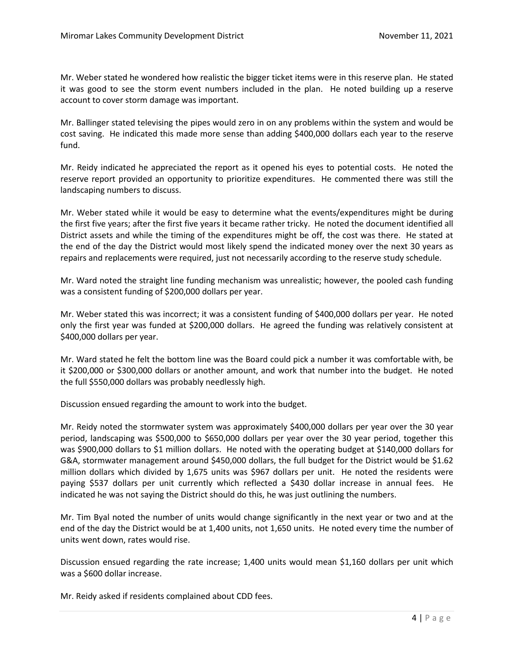Mr. Weber stated he wondered how realistic the bigger ticket items were in this reserve plan. He stated it was good to see the storm event numbers included in the plan. He noted building up a reserve account to cover storm damage was important.

Mr. Ballinger stated televising the pipes would zero in on any problems within the system and would be cost saving. He indicated this made more sense than adding \$400,000 dollars each year to the reserve fund.

Mr. Reidy indicated he appreciated the report as it opened his eyes to potential costs. He noted the reserve report provided an opportunity to prioritize expenditures. He commented there was still the landscaping numbers to discuss.

Mr. Weber stated while it would be easy to determine what the events/expenditures might be during the first five years; after the first five years it became rather tricky. He noted the document identified all District assets and while the timing of the expenditures might be off, the cost was there. He stated at the end of the day the District would most likely spend the indicated money over the next 30 years as repairs and replacements were required, just not necessarily according to the reserve study schedule.

Mr. Ward noted the straight line funding mechanism was unrealistic; however, the pooled cash funding was a consistent funding of \$200,000 dollars per year.

Mr. Weber stated this was incorrect; it was a consistent funding of \$400,000 dollars per year. He noted only the first year was funded at \$200,000 dollars. He agreed the funding was relatively consistent at \$400,000 dollars per year.

Mr. Ward stated he felt the bottom line was the Board could pick a number it was comfortable with, be it \$200,000 or \$300,000 dollars or another amount, and work that number into the budget. He noted the full \$550,000 dollars was probably needlessly high.

Discussion ensued regarding the amount to work into the budget.

Mr. Reidy noted the stormwater system was approximately \$400,000 dollars per year over the 30 year period, landscaping was \$500,000 to \$650,000 dollars per year over the 30 year period, together this was \$900,000 dollars to \$1 million dollars. He noted with the operating budget at \$140,000 dollars for G&A, stormwater management around \$450,000 dollars, the full budget for the District would be \$1.62 million dollars which divided by 1,675 units was \$967 dollars per unit. He noted the residents were paying \$537 dollars per unit currently which reflected a \$430 dollar increase in annual fees. He indicated he was not saying the District should do this, he was just outlining the numbers.

Mr. Tim Byal noted the number of units would change significantly in the next year or two and at the end of the day the District would be at 1,400 units, not 1,650 units. He noted every time the number of units went down, rates would rise.

Discussion ensued regarding the rate increase; 1,400 units would mean \$1,160 dollars per unit which was a \$600 dollar increase.

Mr. Reidy asked if residents complained about CDD fees.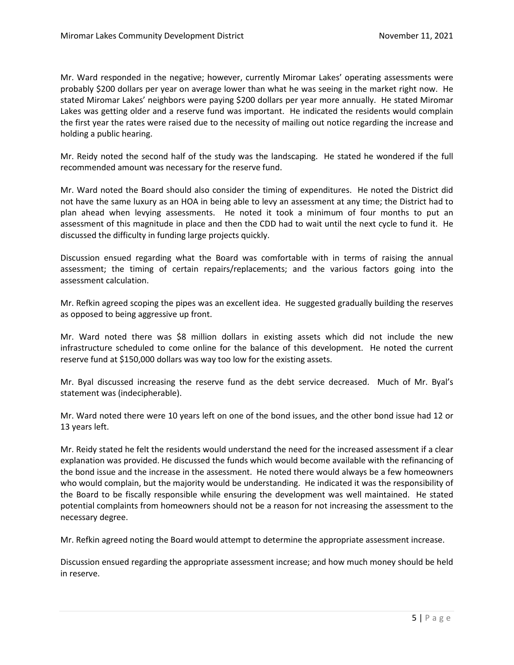Mr. Ward responded in the negative; however, currently Miromar Lakes' operating assessments were probably \$200 dollars per year on average lower than what he was seeing in the market right now. He stated Miromar Lakes' neighbors were paying \$200 dollars per year more annually. He stated Miromar Lakes was getting older and a reserve fund was important. He indicated the residents would complain the first year the rates were raised due to the necessity of mailing out notice regarding the increase and holding a public hearing.

Mr. Reidy noted the second half of the study was the landscaping. He stated he wondered if the full recommended amount was necessary for the reserve fund.

Mr. Ward noted the Board should also consider the timing of expenditures. He noted the District did not have the same luxury as an HOA in being able to levy an assessment at any time; the District had to plan ahead when levying assessments. He noted it took a minimum of four months to put an assessment of this magnitude in place and then the CDD had to wait until the next cycle to fund it. He discussed the difficulty in funding large projects quickly.

Discussion ensued regarding what the Board was comfortable with in terms of raising the annual assessment; the timing of certain repairs/replacements; and the various factors going into the assessment calculation.

Mr. Refkin agreed scoping the pipes was an excellent idea. He suggested gradually building the reserves as opposed to being aggressive up front.

Mr. Ward noted there was \$8 million dollars in existing assets which did not include the new infrastructure scheduled to come online for the balance of this development. He noted the current reserve fund at \$150,000 dollars was way too low for the existing assets.

Mr. Byal discussed increasing the reserve fund as the debt service decreased. Much of Mr. Byal's statement was (indecipherable).

Mr. Ward noted there were 10 years left on one of the bond issues, and the other bond issue had 12 or 13 years left.

Mr. Reidy stated he felt the residents would understand the need for the increased assessment if a clear explanation was provided. He discussed the funds which would become available with the refinancing of the bond issue and the increase in the assessment. He noted there would always be a few homeowners who would complain, but the majority would be understanding. He indicated it was the responsibility of the Board to be fiscally responsible while ensuring the development was well maintained. He stated potential complaints from homeowners should not be a reason for not increasing the assessment to the necessary degree.

Mr. Refkin agreed noting the Board would attempt to determine the appropriate assessment increase.

Discussion ensued regarding the appropriate assessment increase; and how much money should be held in reserve.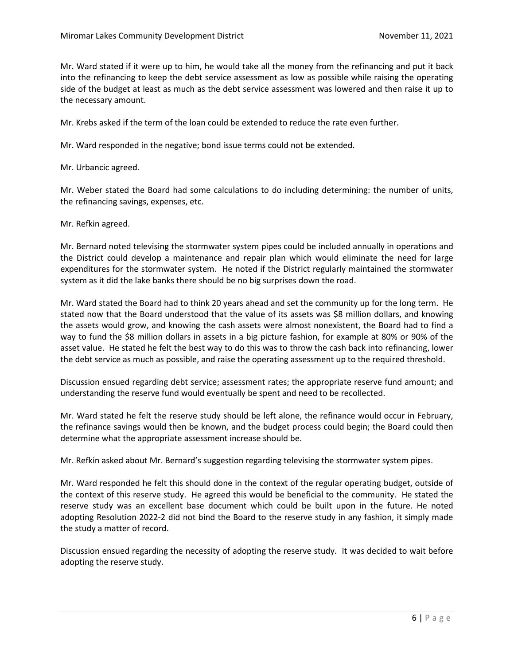Mr. Ward stated if it were up to him, he would take all the money from the refinancing and put it back into the refinancing to keep the debt service assessment as low as possible while raising the operating side of the budget at least as much as the debt service assessment was lowered and then raise it up to the necessary amount.

Mr. Krebs asked if the term of the loan could be extended to reduce the rate even further.

Mr. Ward responded in the negative; bond issue terms could not be extended.

Mr. Urbancic agreed.

Mr. Weber stated the Board had some calculations to do including determining: the number of units, the refinancing savings, expenses, etc.

Mr. Refkin agreed.

Mr. Bernard noted televising the stormwater system pipes could be included annually in operations and the District could develop a maintenance and repair plan which would eliminate the need for large expenditures for the stormwater system. He noted if the District regularly maintained the stormwater system as it did the lake banks there should be no big surprises down the road.

Mr. Ward stated the Board had to think 20 years ahead and set the community up for the long term. He stated now that the Board understood that the value of its assets was \$8 million dollars, and knowing the assets would grow, and knowing the cash assets were almost nonexistent, the Board had to find a way to fund the \$8 million dollars in assets in a big picture fashion, for example at 80% or 90% of the asset value. He stated he felt the best way to do this was to throw the cash back into refinancing, lower the debt service as much as possible, and raise the operating assessment up to the required threshold.

Discussion ensued regarding debt service; assessment rates; the appropriate reserve fund amount; and understanding the reserve fund would eventually be spent and need to be recollected.

Mr. Ward stated he felt the reserve study should be left alone, the refinance would occur in February, the refinance savings would then be known, and the budget process could begin; the Board could then determine what the appropriate assessment increase should be.

Mr. Refkin asked about Mr. Bernard's suggestion regarding televising the stormwater system pipes.

Mr. Ward responded he felt this should done in the context of the regular operating budget, outside of the context of this reserve study. He agreed this would be beneficial to the community. He stated the reserve study was an excellent base document which could be built upon in the future. He noted adopting Resolution 2022-2 did not bind the Board to the reserve study in any fashion, it simply made the study a matter of record.

Discussion ensued regarding the necessity of adopting the reserve study. It was decided to wait before adopting the reserve study.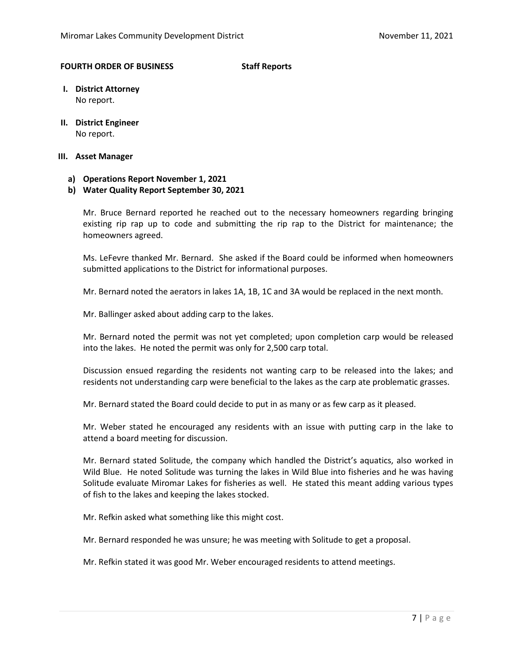#### **FOURTH ORDER OF BUSINESS Staff Reports**

- **I. District Attorney** No report.
- **II. District Engineer** No report.

#### **III. Asset Manager**

## **a) Operations Report November 1, 2021**

## **b) Water Quality Report September 30, 2021**

Mr. Bruce Bernard reported he reached out to the necessary homeowners regarding bringing existing rip rap up to code and submitting the rip rap to the District for maintenance; the homeowners agreed.

Ms. LeFevre thanked Mr. Bernard. She asked if the Board could be informed when homeowners submitted applications to the District for informational purposes.

Mr. Bernard noted the aerators in lakes 1A, 1B, 1C and 3A would be replaced in the next month.

Mr. Ballinger asked about adding carp to the lakes.

Mr. Bernard noted the permit was not yet completed; upon completion carp would be released into the lakes. He noted the permit was only for 2,500 carp total.

Discussion ensued regarding the residents not wanting carp to be released into the lakes; and residents not understanding carp were beneficial to the lakes as the carp ate problematic grasses.

Mr. Bernard stated the Board could decide to put in as many or as few carp as it pleased.

Mr. Weber stated he encouraged any residents with an issue with putting carp in the lake to attend a board meeting for discussion.

Mr. Bernard stated Solitude, the company which handled the District's aquatics, also worked in Wild Blue. He noted Solitude was turning the lakes in Wild Blue into fisheries and he was having Solitude evaluate Miromar Lakes for fisheries as well. He stated this meant adding various types of fish to the lakes and keeping the lakes stocked.

Mr. Refkin asked what something like this might cost.

Mr. Bernard responded he was unsure; he was meeting with Solitude to get a proposal.

Mr. Refkin stated it was good Mr. Weber encouraged residents to attend meetings.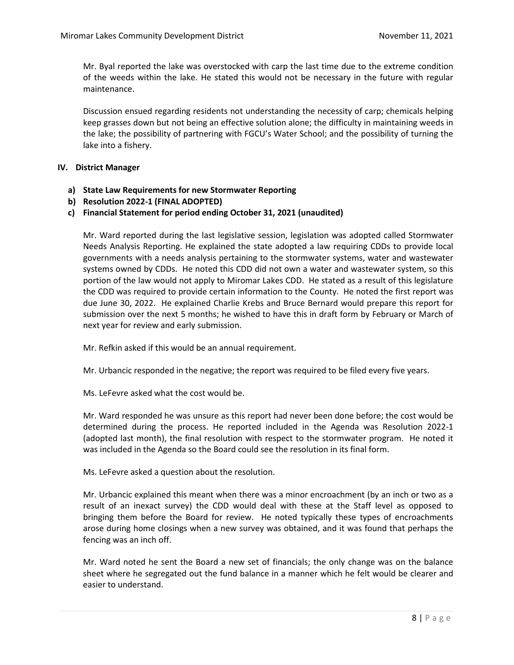Mr. Byal reported the lake was overstocked with carp the last time due to the extreme condition of the weeds within the lake. He stated this would not be necessary in the future with regular maintenance.

Discussion ensued regarding residents not understanding the necessity of carp; chemicals helping keep grasses down but not being an effective solution alone; the difficulty in maintaining weeds in the lake; the possibility of partnering with FGCU's Water School; and the possibility of turning the lake into a fishery.

#### **IV. District Manager**

- **a) State Law Requirements for new Stormwater Reporting**
- **b) Resolution 2022-1 (FINAL ADOPTED)**

## **c) Financial Statement for period ending October 31, 2021 (unaudited)**

Mr. Ward reported during the last legislative session, legislation was adopted called Stormwater Needs Analysis Reporting. He explained the state adopted a law requiring CDDs to provide local governments with a needs analysis pertaining to the stormwater systems, water and wastewater systems owned by CDDs. He noted this CDD did not own a water and wastewater system, so this portion of the law would not apply to Miromar Lakes CDD. He stated as a result of this legislature the CDD was required to provide certain information to the County. He noted the first report was due June 30, 2022. He explained Charlie Krebs and Bruce Bernard would prepare this report for submission over the next 5 months; he wished to have this in draft form by February or March of next year for review and early submission.

Mr. Refkin asked if this would be an annual requirement.

Mr. Urbancic responded in the negative; the report was required to be filed every five years.

Ms. LeFevre asked what the cost would be.

Mr. Ward responded he was unsure as this report had never been done before; the cost would be determined during the process. He reported included in the Agenda was Resolution 2022-1 (adopted last month), the final resolution with respect to the stormwater program. He noted it was included in the Agenda so the Board could see the resolution in its final form.

Ms. LeFevre asked a question about the resolution.

Mr. Urbancic explained this meant when there was a minor encroachment (by an inch or two as a result of an inexact survey) the CDD would deal with these at the Staff level as opposed to bringing them before the Board for review. He noted typically these types of encroachments arose during home closings when a new survey was obtained, and it was found that perhaps the fencing was an inch off.

Mr. Ward noted he sent the Board a new set of financials; the only change was on the balance sheet where he segregated out the fund balance in a manner which he felt would be clearer and easier to understand.